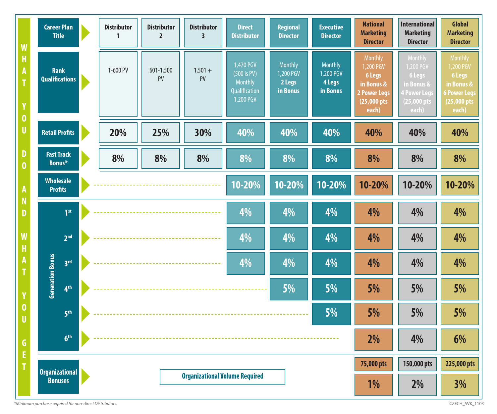| W<br>H<br>A<br>T                      | <b>Career Plan</b><br><b>Title</b>   |                             |  | <b>Distributor</b><br>$\mathbf{1}$    | <b>Distributor</b><br>$\overline{2}$ | <b>Distributor</b><br>$\overline{\mathbf{3}}$ | <b>Direct</b><br><b>Distributor</b>                                                | <b>Regional</b><br><b>Director</b>                | <b>Executive</b><br><b>Director</b>               | <b>National</b><br><b>Marketing</b><br><b>Director</b>                                             | <b>International</b><br><b>Marketing</b><br><b>Director</b>                                   | Global<br><b>Marketing</b><br><b>Director</b>                                      |
|---------------------------------------|--------------------------------------|-----------------------------|--|---------------------------------------|--------------------------------------|-----------------------------------------------|------------------------------------------------------------------------------------|---------------------------------------------------|---------------------------------------------------|----------------------------------------------------------------------------------------------------|-----------------------------------------------------------------------------------------------|------------------------------------------------------------------------------------|
|                                       | <b>Rank</b><br><b>Qualifications</b> |                             |  | 1-600 PV                              | 601-1,500<br>PV                      | $1,501 +$<br>PV                               | 1,470 PGV<br>$(500 \text{ is PV})$<br><b>Monthly</b><br>Qualification<br>1,200 PGV | <b>Monthly</b><br>1,200 PGV<br>2 Legs<br>in Bonus | <b>Monthly</b><br>1,200 PGV<br>4 Legs<br>in Bonus | <b>Monthly</b><br>1,200 PGV<br><b>6 Legs</b><br>in Bonus &<br><b>2 Power Legs</b><br>$(25,000$ pts | Monthly<br>1,200 PGV<br>6 Legs<br>in Bonus &<br><b>4 Power Legs</b><br>$(25,000 \text{ pts})$ | Monthly<br>1,200 PGV<br>6 Legs<br>in Bonus &<br><b>6 Power Legs</b><br>(25,000 pts |
| Y<br>$\boldsymbol{0}$                 | <b>Retail Profits</b>                |                             |  |                                       |                                      |                                               |                                                                                    |                                                   |                                                   | each)                                                                                              | each)                                                                                         | each)                                                                              |
| U                                     |                                      |                             |  | 20%                                   | 25%                                  | 30%                                           | 40%                                                                                | 40%                                               | 40%                                               | 40%                                                                                                | 40%                                                                                           | 40%                                                                                |
| D<br>$\bf{0}$                         |                                      | <b>Fast Track</b><br>Bonus* |  | 8%                                    | 8%                                   | 8%                                            | 8%                                                                                 | 8%                                                | 8%                                                | 8%                                                                                                 | 8%                                                                                            | 8%                                                                                 |
| A                                     | <b>Wholesale</b><br><b>Profits</b>   |                             |  |                                       |                                      |                                               | 10-20%                                                                             | $10 - 20\%$                                       | 10-20%                                            | 10-20%                                                                                             | 10-20%                                                                                        | 10-20%                                                                             |
| N<br>D                                |                                      | 1 <sup>st</sup>             |  |                                       |                                      |                                               | 4%                                                                                 | 4%                                                | 4%                                                | 4%                                                                                                 | 4%                                                                                            | 4%                                                                                 |
| W<br>H                                |                                      | 2 <sup>nd</sup>             |  |                                       |                                      |                                               | 4%                                                                                 | 4%                                                | 4%                                                | 4%                                                                                                 | 4%                                                                                            | 4%                                                                                 |
|                                       | <b>Generation Bonus</b>              | 3 <sup>rd</sup>             |  |                                       |                                      |                                               | 4%                                                                                 | 4%                                                | 4%                                                | 4%                                                                                                 | 4%                                                                                            | 4%                                                                                 |
| Y                                     |                                      | 4 <sup>th</sup>             |  |                                       |                                      |                                               |                                                                                    | 5%                                                | 5%                                                | 5%                                                                                                 | 5%                                                                                            | 5%                                                                                 |
| $\bf{0}$<br>$\boldsymbol{\mathsf{U}}$ |                                      | 5 <sup>th</sup>             |  | 5%                                    |                                      |                                               |                                                                                    |                                                   |                                                   | 5%                                                                                                 | 5%                                                                                            | 5%                                                                                 |
| G<br>E                                |                                      | 6 <sup>th</sup>             |  |                                       |                                      |                                               |                                                                                    |                                                   |                                                   | 2%                                                                                                 | 4%                                                                                            | 6%                                                                                 |
|                                       | <b>Organizational</b>                |                             |  |                                       |                                      |                                               |                                                                                    |                                                   | 75,000 pts                                        | 150,000 pts                                                                                        | 225,000 pts                                                                                   |                                                                                    |
|                                       | <b>Bonuses</b>                       |                             |  | <b>Organizational Volume Required</b> |                                      |                                               |                                                                                    |                                                   |                                                   | 1%                                                                                                 | 2%                                                                                            | 3%                                                                                 |